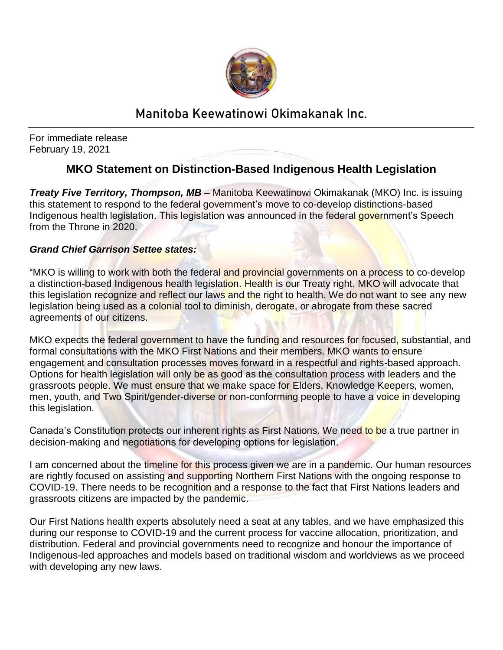

## Manitoba Keewatinowi Okimakanak Inc.

For immediate release February 19, 2021

## **MKO Statement on Distinction-Based Indigenous Health Legislation**

*Treaty Five Territory, Thompson, MB –* Manitoba Keewatinowi Okimakanak (MKO) Inc. is issuing this statement to respond to the federal government's move to co-develop distinctions-based Indigenous health legislation. This legislation was announced in the federal government's Speech from the Throne in 2020.

## *Grand Chief Garrison Settee states:*

"MKO is willing to work with both the federal and provincial governments on a process to co-develop a distinction-based Indigenous health legislation. Health is our Treaty right. MKO will advocate that this legislation recognize and reflect our laws and the right to health. We do not want to see any new legislation being used as a colonial tool to diminish, derogate, or abrogate from these sacred agreements of our citizens.

MKO expects the federal government to have the funding and resources for focused, substantial, and formal consultations with the MKO First Nations and their members. MKO wants to ensure engagement and consultation processes moves forward in a respectful and rights-based approach. Options for health legislation will only be as good as the consultation process with leaders and the grassroots people. We must ensure that we make space for Elders, Knowledge Keepers, women, men, youth, and Two Spirit/gender-diverse or non-conforming people to have a voice in developing this legislation.

Canada's Constitution protects our inherent rights as First Nations. We need to be a true partner in decision-making and negotiations for developing options for legislation.

I am concerned about the timeline for this process given we are in a pandemic. Our human resources are rightly focused on assisting and supporting Northern First Nations with the ongoing response to COVID-19. There needs to be recognition and a response to the fact that First Nations leaders and grassroots citizens are impacted by the pandemic.

Our First Nations health experts absolutely need a seat at any tables, and we have emphasized this during our response to COVID-19 and the current process for vaccine allocation, prioritization, and distribution. Federal and provincial governments need to recognize and honour the importance of Indigenous-led approaches and models based on traditional wisdom and worldviews as we proceed with developing any new laws.